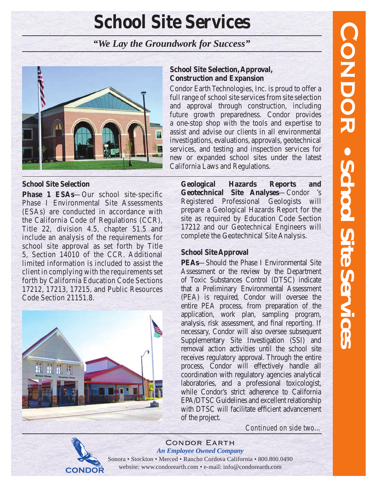# **School Site Services**

# *"We Lay the Groundwork for Success"*



## **School Site Selection**

**Phase 1 ESAs—Our school site-specific** Phase I Environmental Site Assessments (ESAs) are conducted in accordance with the California Code of Regulations (CCR), Title 22, division 4.5, chapter 51.5 and include an analysis of the requirements for school site approval as set forth by Title 5, Section 14010 of the CCR. Additional limited information is included to assist the client in complying with the requirements set forth by California Education Code Sections 17212, 17213, 17215, and Public Resources Code Section 21151.8.



# **School Site Selection, Approval, Construction and Expansion**

Condor Earth Technologies, Inc. is proud to offer a full range of school site services from site selection and approval through construction, including future growth preparedness. Condor provides a one-stop shop with the tools and expertise to assist and advise our clients in all environmental investigations, evaluations, approvals, geotechnical services, and testing and inspection services for new or expanded school sites under the latest California Laws and Regulations.

**Geological Hazards Reports and Geotechnical Site Analyses**—Condor 's Registered Professional Geologists will prepare a Geological Hazards Report for the site as required by Education Code Section 17212 and our Geotechnical Engineers will complete the Geotechnical Site Analysis.

# **School Site Approval**

**PEAs**—Should the Phase I Environmental Site Assessment or the review by the Department of Toxic Substances Control (DTSC) indicate that a Preliminary Environmental Assessment (PEA) is required, Condor will oversee the entire PEA process, from preparation of the application, work plan, sampling program, analysis, risk assessment, and final reporting. If necessary, Condor will also oversee subsequent Supplementary Site Investigation (SSI) and removal action activities until the school site receives regulatory approval. Through the entire process, Condor will effectively handle all coordination with regulatory agencies analytical laboratories, and a professional toxicologist, while Condor's strict adherence to California EPA/DTSC Guidelines and excellent relationship with DTSC will facilitate efficient advancement of the project.

*Continued on side two…*



#### Condor Earth *An Employee Owned Company*

Sonora • Stockton • Merced • Rancho Cordova California • 800.800.0490 website: www.condorearth.com • e-mail: info@condorearth.com